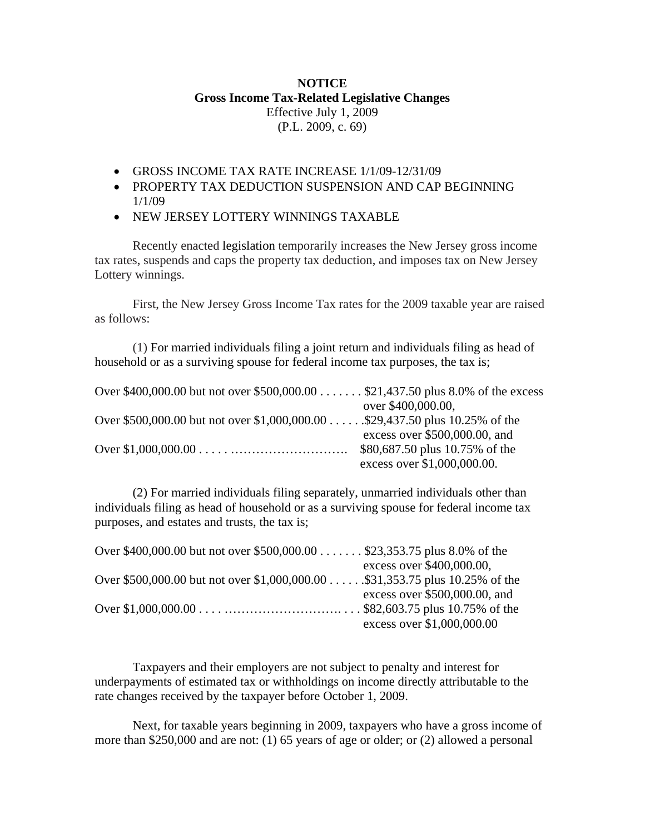## **NOTICE Gross Income Tax-Related Legislative Changes**  Effective July 1, 2009 (P.L. 2009, c. 69)

- GROSS INCOME TAX RATE INCREASE 1/1/09-12/31/09
- PROPERTY TAX DEDUCTION SUSPENSION AND CAP BEGINNING 1/1/09
- NEW JERSEY LOTTERY WINNINGS TAXABLE

Recently enacted legislation temporarily increases the New Jersey gross income tax rates, suspends and caps the property tax deduction, and imposes tax on New Jersey Lottery winnings.

 First, the New Jersey Gross Income Tax rates for the 2009 taxable year are raised as follows:

 (1) For married individuals filing a joint return and individuals filing as head of household or as a surviving spouse for federal income tax purposes, the tax is;

| Over \$400,000.00 but not over \$500,000.00 \$21,437.50 plus 8.0% of the excess |                                 |
|---------------------------------------------------------------------------------|---------------------------------|
|                                                                                 | over \$400,000.00,              |
| Over \$500,000.00 but not over \$1,000,000.00 \$29,437.50 plus 10.25% of the    |                                 |
|                                                                                 | excess over $$500,000.00$ , and |
|                                                                                 | \$80,687.50 plus 10.75% of the  |
|                                                                                 | excess over \$1,000,000.00.     |

 (2) For married individuals filing separately, unmarried individuals other than individuals filing as head of household or as a surviving spouse for federal income tax purposes, and estates and trusts, the tax is;

| Over \$400,000.00 but not over \$500,000.00 \$23,353.75 plus 8.0% of the     |                                 |
|------------------------------------------------------------------------------|---------------------------------|
|                                                                              | excess over \$400,000.00,       |
| Over \$500,000.00 but not over \$1,000,000.00 \$31,353.75 plus 10.25% of the |                                 |
|                                                                              | excess over $$500,000.00$ , and |
|                                                                              |                                 |
|                                                                              | excess over \$1,000,000.00      |

 Taxpayers and their employers are not subject to penalty and interest for underpayments of estimated tax or withholdings on income directly attributable to the rate changes received by the taxpayer before October 1, 2009.

 Next, for taxable years beginning in 2009, taxpayers who have a gross income of more than \$250,000 and are not: (1) 65 years of age or older; or (2) allowed a personal